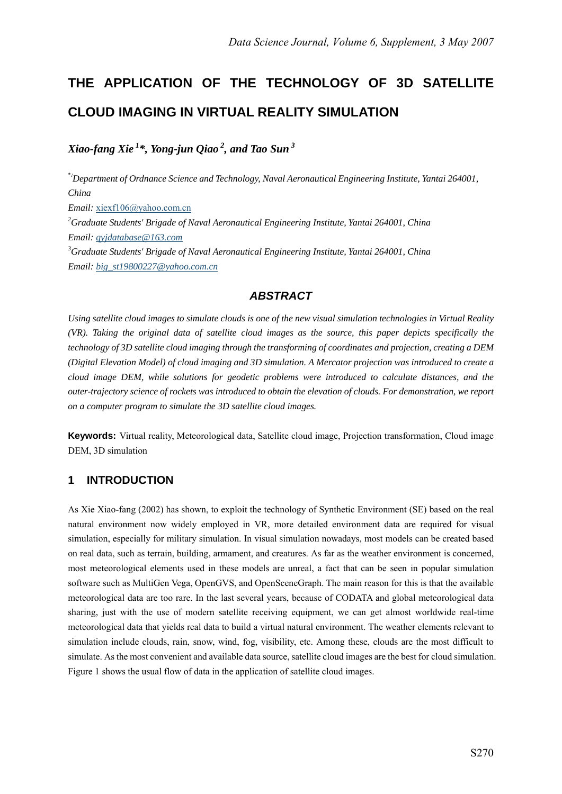# **THE APPLICATION OF THE TECHNOLOGY OF 3D SATELLITE CLOUD IMAGING IN VIRTUAL REALITY SIMULATION**

*Xiao-fang Xie 1\*, Yong-jun Qiao 2, and Tao Sun 3* 

*\**1 *Department of Ordnance Science and Technology, Naval Aeronautical Engineering Institute, Yantai 264001, China Email:* xiexf106@yahoo.com.cn *2 Graduate Students' Brigade of Naval Aeronautical Engineering Institute, Yantai 264001, China Email: qyjdatabase@163.com 3 Graduate Students' Brigade of Naval Aeronautical Engineering Institute, Yantai 264001, China Email: big\_st19800227@yahoo.com.cn*

## *ABSTRACT*

*Using satellite cloud images to simulate clouds is one of the new visual simulation technologies in Virtual Reality (VR). Taking the original data of satellite cloud images as the source, this paper depicts specifically the technology of 3D satellite cloud imaging through the transforming of coordinates and projection, creating a DEM (Digital Elevation Model) of cloud imaging and 3D simulation. A Mercator projection was introduced to create a cloud image DEM, while solutions for geodetic problems were introduced to calculate distances, and the outer-trajectory science of rockets was introduced to obtain the elevation of clouds. For demonstration, we report on a computer program to simulate the 3D satellite cloud images.* 

**Keywords:** Virtual reality, Meteorological data, Satellite cloud image, Projection transformation, Cloud image DEM, 3D simulation

#### **1 INTRODUCTION**

As Xie Xiao-fang (2002) has shown, to exploit the technology of Synthetic Environment (SE) based on the real natural environment now widely employed in VR, more detailed environment data are required for visual simulation, especially for military simulation. In visual simulation nowadays, most models can be created based on real data, such as terrain, building, armament, and creatures. As far as the weather environment is concerned, most meteorological elements used in these models are unreal, a fact that can be seen in popular simulation software such as MultiGen Vega, OpenGVS, and OpenSceneGraph. The main reason for this is that the available meteorological data are too rare. In the last several years, because of CODATA and global meteorological data sharing, just with the use of modern satellite receiving equipment, we can get almost worldwide real-time meteorological data that yields real data to build a virtual natural environment. The weather elements relevant to simulation include clouds, rain, snow, wind, fog, visibility, etc. Among these, clouds are the most difficult to simulate. As the most convenient and available data source, satellite cloud images are the best for cloud simulation. Figure 1 shows the usual flow of data in the application of satellite cloud images.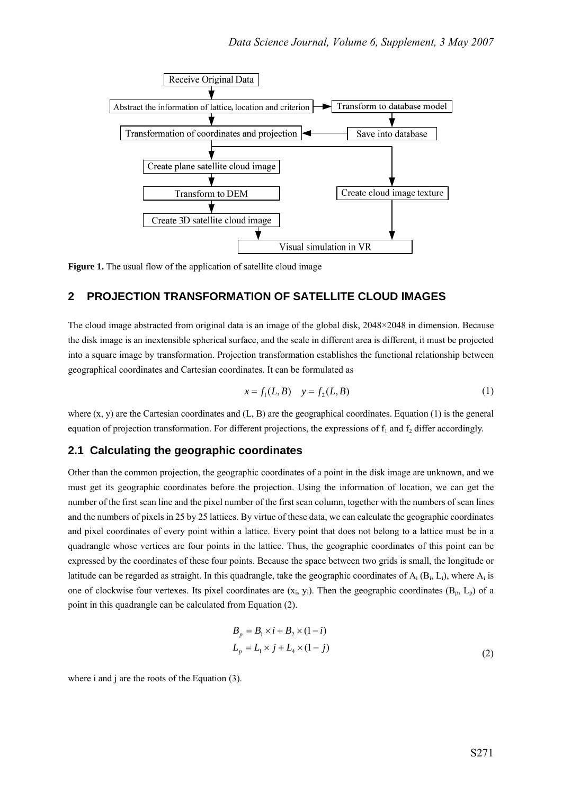

**Figure 1.** The usual flow of the application of satellite cloud image

#### **2 PROJECTION TRANSFORMATION OF SATELLITE CLOUD IMAGES**

The cloud image abstracted from original data is an image of the global disk, 2048×2048 in dimension. Because the disk image is an inextensible spherical surface, and the scale in different area is different, it must be projected into a square image by transformation. Projection transformation establishes the functional relationship between geographical coordinates and Cartesian coordinates. It can be formulated as

$$
x = f_1(L, B) \quad y = f_2(L, B) \tag{1}
$$

where  $(x, y)$  are the Cartesian coordinates and  $(L, B)$  are the geographical coordinates. Equation (1) is the general equation of projection transformation. For different projections, the expressions of  $f_1$  and  $f_2$  differ accordingly.

#### **2.1 Calculating the geographic coordinates**

Other than the common projection, the geographic coordinates of a point in the disk image are unknown, and we must get its geographic coordinates before the projection. Using the information of location, we can get the number of the first scan line and the pixel number of the first scan column, together with the numbers of scan lines and the numbers of pixels in 25 by 25 lattices. By virtue of these data, we can calculate the geographic coordinates and pixel coordinates of every point within a lattice. Every point that does not belong to a lattice must be in a quadrangle whose vertices are four points in the lattice. Thus, the geographic coordinates of this point can be expressed by the coordinates of these four points. Because the space between two grids is small, the longitude or latitude can be regarded as straight. In this quadrangle, take the geographic coordinates of  $A_i$  ( $B_i$ ,  $L_i$ ), where  $A_i$  is one of clockwise four vertexes. Its pixel coordinates are  $(x_i, y_i)$ . Then the geographic coordinates  $(B_p, L_p)$  of a point in this quadrangle can be calculated from Equation (2).

$$
B_p = B_1 \times i + B_2 \times (1 - i)
$$
  
\n
$$
L_p = L_1 \times j + L_4 \times (1 - j)
$$
\n(2)

where i and j are the roots of the Equation (3).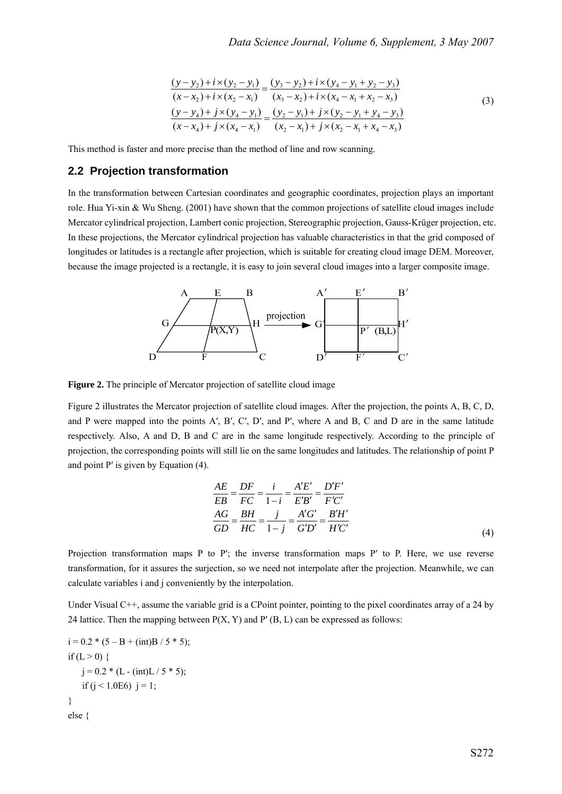$$
\frac{(y-y_2)+i\times(y_2-y_1)}{(x-x_2)+i\times(x_2-x_1)} = \frac{(y_3-y_2)+i\times(y_4-y_1+y_2-y_3)}{(x_3-x_2)+i\times(x_4-x_1+x_2-x_3)}
$$
\n
$$
\frac{(y-y_4)+j\times(y_4-y_1)}{(x-x_4)+j\times(x_4-x_1)} = \frac{(y_2-y_1)+j\times(y_2-y_1+y_4-y_3)}{(x_2-x_1)+j\times(x_2-x_1+x_4-x_3)}
$$
\n(3)

This method is faster and more precise than the method of line and row scanning.

#### **2.2 Projection transformation**

In the transformation between Cartesian coordinates and geographic coordinates, projection plays an important role. Hua Yi-xin & Wu Sheng. (2001) have shown that the common projections of satellite cloud images include Mercator cylindrical projection, Lambert conic projection, Stereographic projection, Gauss-Krüger projection, etc. In these projections, the Mercator cylindrical projection has valuable characteristics in that the grid composed of longitudes or latitudes is a rectangle after projection, which is suitable for creating cloud image DEM. Moreover, because the image projected is a rectangle, it is easy to join several cloud images into a larger composite image.



**Figure 2.** The principle of Mercator projection of satellite cloud image

Figure 2 illustrates the Mercator projection of satellite cloud images. After the projection, the points A, B, C, D, and P were mapped into the points A′, B′, C′, D′, and P′, where A and B, C and D are in the same latitude respectively. Also, A and D, B and C are in the same longitude respectively. According to the principle of projection, the corresponding points will still lie on the same longitudes and latitudes. The relationship of point P and point P′ is given by Equation (4).

$$
\frac{AE}{EB} = \frac{DF}{FC} = \frac{i}{1-i} = \frac{A'E'}{E'B'} = \frac{D'F'}{F'C'}
$$
\n
$$
\frac{AG}{GD} = \frac{BH}{HC} = \frac{j}{1-j} = \frac{A'G'}{G'D'} = \frac{B'H'}{H'C'}
$$
\n(4)

Projection transformation maps P to P′; the inverse transformation maps P′ to P. Here, we use reverse transformation, for it assures the surjection, so we need not interpolate after the projection. Meanwhile, we can calculate variables i and j conveniently by the interpolation.

Under Visual C++, assume the variable grid is a CPoint pointer, pointing to the pixel coordinates array of a 24 by 24 lattice. Then the mapping between  $P(X, Y)$  and  $P'(B, L)$  can be expressed as follows:

i = 0.2 \* (5 – B + (int)B / 5 \* 5); if (L > 0) { j = 0.2 \* (L - (int)L / 5 \* 5); if (j < 1.0E6) j = 1; } else {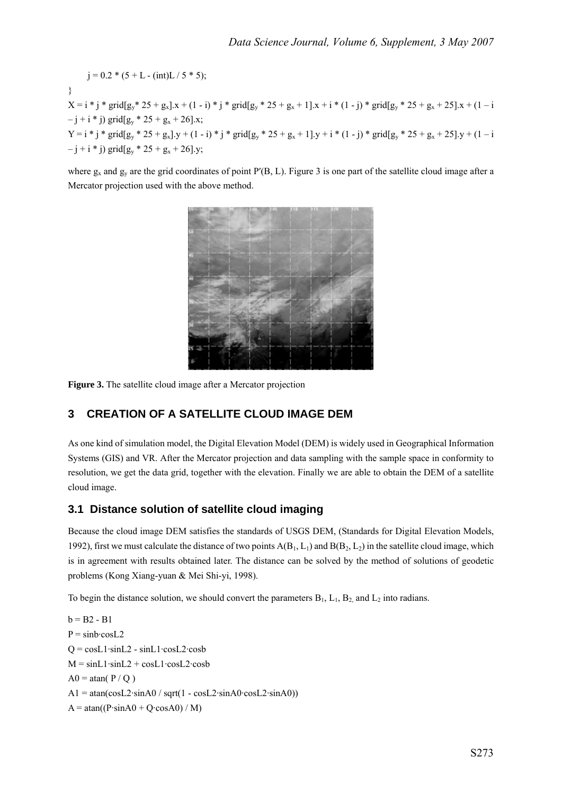$j = 0.2 * (5 + L - (int)L / 5 * 5);$ }  $X = i * j * grid[g_y * 25 + g_x]$ . $x + (1 - i) * j * grid[g_y * 25 + g_x + 1]$ . $x + i * (1 - j) * grid[g_y * 25 + g_x + 25]$ . $x + (1 - i)$  $-j + i * j$ ) grid[g<sub>y</sub> \* 25 + g<sub>x</sub> + 26].x;  $Y = i * j * grid[g_y * 25 + g_x] \cdot y + (1 - i) * j * grid[g_y * 25 + g_x + 1] \cdot y + i * (1 - j) * grid[g_y * 25 + g_x + 25] \cdot y + (1 - i)$  $-j + i * j$ ) grid[g<sub>y</sub>  $* 25 + g_x + 26$ ].y;

where  $g_x$  and  $g_y$  are the grid coordinates of point P'(B, L). Figure 3 is one part of the satellite cloud image after a Mercator projection used with the above method.



**Figure 3.** The satellite cloud image after a Mercator projection

# **3 CREATION OF A SATELLITE CLOUD IMAGE DEM**

As one kind of simulation model, the Digital Elevation Model (DEM) is widely used in Geographical Information Systems (GIS) and VR. After the Mercator projection and data sampling with the sample space in conformity to resolution, we get the data grid, together with the elevation. Finally we are able to obtain the DEM of a satellite cloud image.

#### **3.1 Distance solution of satellite cloud imaging**

Because the cloud image DEM satisfies the standards of USGS DEM, (Standards for Digital Elevation Models, 1992), first we must calculate the distance of two points  $A(B_1, L_1)$  and  $B(B_2, L_2)$  in the satellite cloud image, which is in agreement with results obtained later. The distance can be solved by the method of solutions of geodetic problems (Kong Xiang-yuan & Mei Shi-yi, 1998).

To begin the distance solution, we should convert the parameters  $B_1$ ,  $L_1$ ,  $B_2$  and  $L_2$  into radians.

 $b = B2 - B1$  $P = \sin b \cdot \cos L2$  $Q = \cos L1 \cdot \sin L2 - \sin L1 \cdot \cos L2 \cdot \cosh$  $M = \sin L1 \cdot \sin L2 + \cos L1 \cdot \cos L2 \cdot \cosh$  $A0 = \text{atan}(P/Q)$  $A1 = \text{atan}(\cos L2 \cdot \sin A0 / \text{sqrt}(1 - \cos L2 \cdot \sin A0 \cdot \cos L2 \cdot \sin A0))$  $A = \text{atan}((P \cdot \sin A0 + Q \cdot \cos A0) / M)$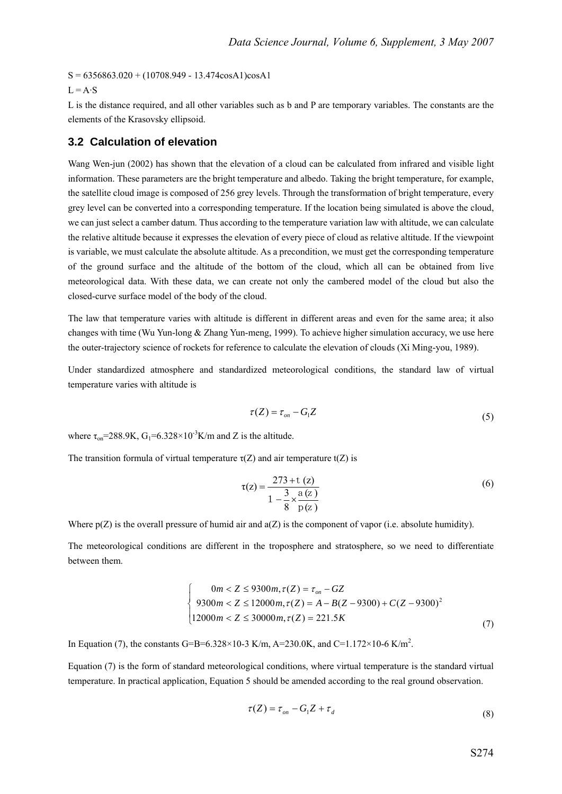$S = 6356863.020 + (10708.949 - 13.474 \cos A1) \cos A1$ 

#### $L = A \cdot S$

L is the distance required, and all other variables such as b and P are temporary variables. The constants are the elements of the Krasovsky ellipsoid.

#### **3.2 Calculation of elevation**

Wang Wen-jun (2002) has shown that the elevation of a cloud can be calculated from infrared and visible light information. These parameters are the bright temperature and albedo. Taking the bright temperature, for example, the satellite cloud image is composed of 256 grey levels. Through the transformation of bright temperature, every grey level can be converted into a corresponding temperature. If the location being simulated is above the cloud, we can just select a camber datum. Thus according to the temperature variation law with altitude, we can calculate the relative altitude because it expresses the elevation of every piece of cloud as relative altitude. If the viewpoint is variable, we must calculate the absolute altitude. As a precondition, we must get the corresponding temperature of the ground surface and the altitude of the bottom of the cloud, which all can be obtained from live meteorological data. With these data, we can create not only the cambered model of the cloud but also the closed-curve surface model of the body of the cloud.

The law that temperature varies with altitude is different in different areas and even for the same area; it also changes with time (Wu Yun-long & Zhang Yun-meng, 1999). To achieve higher simulation accuracy, we use here the outer-trajectory science of rockets for reference to calculate the elevation of clouds (Xi Ming-you, 1989).

Under standardized atmosphere and standardized meteorological conditions, the standard law of virtual temperature varies with altitude is

$$
\tau(Z) = \tau_{on} - G_1 Z \tag{5}
$$

where  $\tau_{on}$ =288.9K, G<sub>1</sub>=6.328×10<sup>-3</sup>K/m and Z is the altitude.

The transition formula of virtual temperature  $\tau(Z)$  and air temperature  $t(Z)$  is

$$
\tau(z) = \frac{273 + t(z)}{1 - \frac{3}{8} \times \frac{a(z)}{p(z)}}
$$
(6)

Where  $p(Z)$  is the overall pressure of humid air and  $a(Z)$  is the component of vapor (i.e. absolute humidity).

The meteorological conditions are different in the troposphere and stratosphere, so we need to differentiate between them.

$$
\begin{cases}\n0m < Z \le 9300m, \tau(Z) = \tau_{on} - GZ \\
9300m < Z \le 12000m, \tau(Z) = A - B(Z - 9300) + C(Z - 9300)^2 \\
12000m < Z \le 30000m, \tau(Z) = 221.5K\n\end{cases} \tag{7}
$$

In Equation (7), the constants G=B=6.328×10-3 K/m, A=230.0K, and C=1.172×10-6 K/m<sup>2</sup>.

Equation (7) is the form of standard meteorological conditions, where virtual temperature is the standard virtual temperature. In practical application, Equation 5 should be amended according to the real ground observation.

$$
\tau(Z) = \tau_{on} - G_1 Z + \tau_d \tag{8}
$$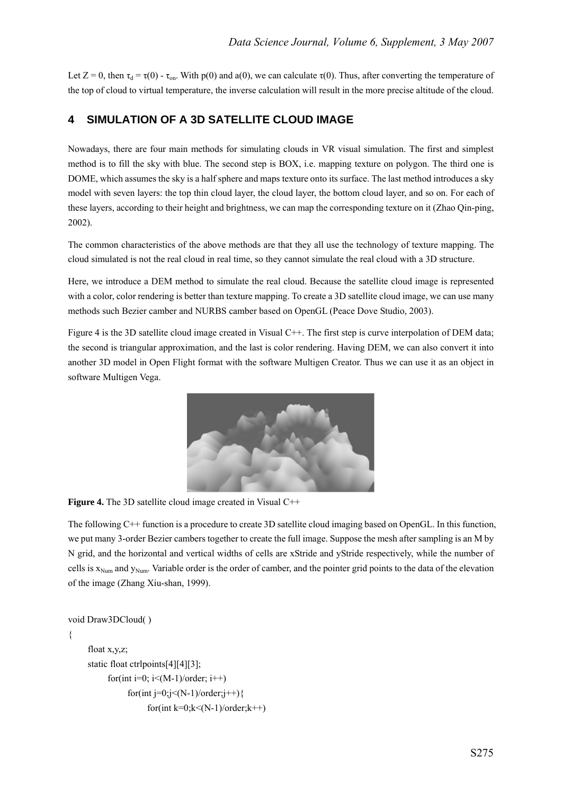Let  $Z = 0$ , then  $\tau_d = \tau(0)$  -  $\tau_{on}$ . With p(0) and a(0), we can calculate  $\tau(0)$ . Thus, after converting the temperature of the top of cloud to virtual temperature, the inverse calculation will result in the more precise altitude of the cloud.

#### **4 SIMULATION OF A 3D SATELLITE CLOUD IMAGE**

Nowadays, there are four main methods for simulating clouds in VR visual simulation. The first and simplest method is to fill the sky with blue. The second step is BOX, i.e. mapping texture on polygon. The third one is DOME, which assumes the sky is a half sphere and maps texture onto its surface. The last method introduces a sky model with seven layers: the top thin cloud layer, the cloud layer, the bottom cloud layer, and so on. For each of these layers, according to their height and brightness, we can map the corresponding texture on it (Zhao Qin-ping, 2002).

The common characteristics of the above methods are that they all use the technology of texture mapping. The cloud simulated is not the real cloud in real time, so they cannot simulate the real cloud with a 3D structure.

Here, we introduce a DEM method to simulate the real cloud. Because the satellite cloud image is represented with a color, color rendering is better than texture mapping. To create a 3D satellite cloud image, we can use many methods such Bezier camber and NURBS camber based on OpenGL (Peace Dove Studio, 2003).

Figure 4 is the 3D satellite cloud image created in Visual C++. The first step is curve interpolation of DEM data; the second is triangular approximation, and the last is color rendering. Having DEM, we can also convert it into another 3D model in Open Flight format with the software Multigen Creator. Thus we can use it as an object in software Multigen Vega.



**Figure 4.** The 3D satellite cloud image created in Visual C<sup>++</sup>

The following C++ function is a procedure to create 3D satellite cloud imaging based on OpenGL. In this function, we put many 3-order Bezier cambers together to create the full image. Suppose the mesh after sampling is an M by N grid, and the horizontal and vertical widths of cells are xStride and yStride respectively, while the number of cells is  $x_{Num}$  and  $y_{Num}$ . Variable order is the order of camber, and the pointer grid points to the data of the elevation of the image (Zhang Xiu-shan, 1999).

```
void Draw3DCloud( ) 
{ 
     float x,y,z; 
     static float ctrlpoints[4][4][3]; 
           for(int i=0; i<(M-1)/order; i++)
                for(int j=0;j<(N-1)/order;j++){
                      for(int k=0;k<(N-1)/order;k++)
```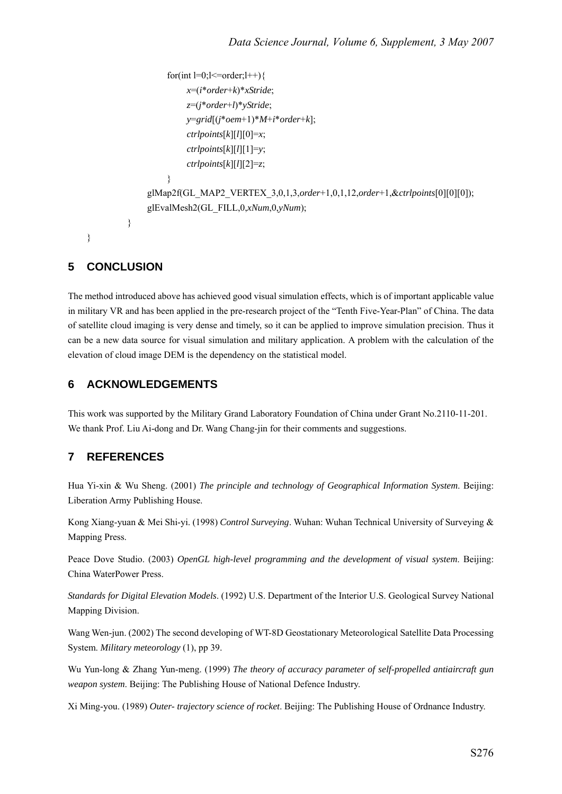```
for(int l=0;l <= order; l + + ) {
                          x=(i*order+k)*xStride; 
                          z=(j*order+l)*yStride; 
                          y=grid[(j*oem+1)*M+i*order+k]; 
                          ctrlpoints[k][l][0]=x; 
                          ctrlpoints[k][l][1]=y; 
                          ctrlpoints[k][l][2]=z; 
                     } 
                glMap2f(GL_MAP2_VERTEX_3,0,1,3,order+1,0,1,12,order+1,&ctrlpoints[0][0][0]); 
                glEvalMesh2(GL_FILL,0,xNum,0,yNum); 
          } 
}
```
# **5 CONCLUSION**

The method introduced above has achieved good visual simulation effects, which is of important applicable value in military VR and has been applied in the pre-research project of the "Tenth Five-Year-Plan" of China. The data of satellite cloud imaging is very dense and timely, so it can be applied to improve simulation precision. Thus it can be a new data source for visual simulation and military application. A problem with the calculation of the elevation of cloud image DEM is the dependency on the statistical model.

## **6 ACKNOWLEDGEMENTS**

This work was supported by the Military Grand Laboratory Foundation of China under Grant No.2110-11-201. We thank Prof. Liu Ai-dong and Dr. Wang Chang-jin for their comments and suggestions.

# **7 REFERENCES**

Hua Yi-xin & Wu Sheng. (2001) *The principle and technology of Geographical Information System*. Beijing: Liberation Army Publishing House.

Kong Xiang-yuan & Mei Shi-yi. (1998) *Control Surveying*. Wuhan: Wuhan Technical University of Surveying & Mapping Press.

Peace Dove Studio. (2003) *OpenGL high-level programming and the development of visual system*. Beijing: China WaterPower Press.

*Standards for Digital Elevation Models*. (1992) U.S. Department of the Interior U.S. Geological Survey National Mapping Division.

Wang Wen-jun. (2002) The second developing of WT-8D Geostationary Meteorological Satellite Data Processing System. *Military meteorology* (1), pp 39.

Wu Yun-long & Zhang Yun-meng. (1999) *The theory of accuracy parameter of self-propelled antiaircraft gun weapon system*. Beijing: The Publishing House of National Defence Industry.

Xi Ming-you. (1989) *Outer- trajectory science of rocket*. Beijing: The Publishing House of Ordnance Industry.